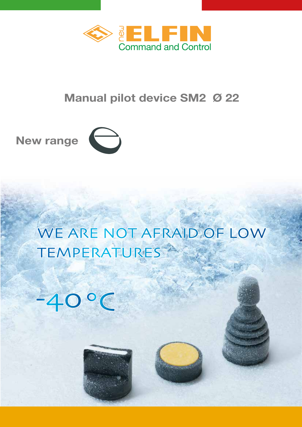

# **Manual pilot device SM2 Ø 22**



# WE ARE NOT AFRAID OF LOW TEMPERATURES<sup>25</sup>



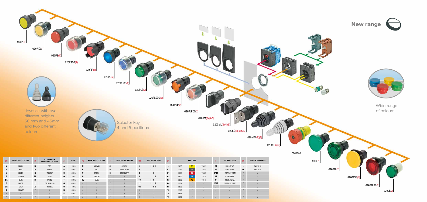

| (1) | <b>OPERATORS COLOURS</b> | (2)          | ILLUMINATED<br><b>OPERATORS COLOURS</b> |              | <b>CAM</b> | (4)       | <b>KNOB INDEX COLOURS</b> |    | <b>SELECTOR SW. RETURN</b> | (6)              | <b>KEY EXTRACTION</b> | (7)                      |      | <b>KEY CODE</b> |       | (8)         | <b>JOY STICK CAM</b> | (9)                      | <b>JOY STICK</b> |
|-----|--------------------------|--------------|-----------------------------------------|--------------|------------|-----------|---------------------------|----|----------------------------|------------------|-----------------------|--------------------------|------|-----------------|-------|-------------|----------------------|--------------------------|------------------|
|     | <b>BLACK</b>             | $\mathbf{R}$ | <b>RED</b>                              | A.           | 2P0S.      | N.        | <b>NORMAL</b>             | C  | <b>CENTRE</b>              |                  | 0 <sub>  </sub>       | $\overline{\phantom{a}}$ | 3095 | 33 <sub>o</sub> | 73033 | 2T          | 2POS.TEMP.           | $\overline{\phantom{0}}$ | RAL              |
|     | RED                      | $\mathbf{V}$ | GREEN                                   | $\mathbf{B}$ | 2P0S.      | R.        | RED                       | D  | <b>FROM RIGHT</b>          |                  |                       | 53                       | 3353 | 34              | 73034 | 2P          | 2 POS.PERM.          | <b>GR</b>                | RAL              |
|     | <b>GREEN</b>             | G            | <b>YELLOW</b>                           | C.           | 2P0S.      |           | GREEN                     | S. | <b>FROM LEFT</b>           |                  |                       | 01                       | 9901 |                 | 73037 | <b>1P1T</b> | 1 PERM. 1 TEMP.      |                          |                  |
| u.  | <b>YELLOW</b>            | <b>BL</b>    | <b>BLUE</b>                             | $\mathbf{0}$ | 3POS.      | G         | YELLOW                    |    |                            |                  |                       | $02\phantom{.0}$         | 9902 | 38              | 73038 | 4T          | 4 POS.TEMP.          |                          |                  |
| BL  | <b>BLUE</b>              | B            | <b>WHITE</b>                            |              | 3P0S.      | <b>BL</b> | <b>BLUE</b>               |    |                            | 10               |                       | 03                       | 9903 |                 | 73040 | 4P          | 4 POS. PERM.         |                          |                  |
| B   | <b>WHITE</b>             |              | <b>COLOURLESS</b>                       | $\Omega$     | 4POS.      |           |                           |    |                            | 12 <sup>12</sup> |                       | 04                       | 9904 |                 |       | <b>2P2T</b> | 2 PERM. 2 TEMP.      |                          |                  |
| GR  | <b>GREY</b>              | A            | ORANGE                                  | $\mathsf{U}$ | 4POS.      |           |                           |    |                            | 02               | $0$ II                | 05                       | 9905 |                 |       |             |                      |                          |                  |
|     | ORANGE                   |              |                                         |              | 5P0S.      |           |                           |    |                            |                  |                       | 10 <sup>°</sup>          | 9910 |                 |       |             |                      |                          |                  |
|     |                          |              |                                         |              | 5P0S.      |           |                           |    |                            |                  |                       | 16                       | 9916 |                 |       |             |                      |                          |                  |
|     |                          |              |                                         |              |            |           |                           |    |                            |                  |                       | 19                       | 9919 |                 |       |             |                      |                          |                  |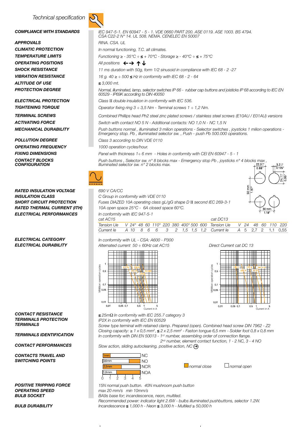#### *Technical specification*

#### *Compliance with standardS*

*APPROVALS Climatic protection Temperature limitS OPERATING positionS SHOCK RESISTANCE Vibration resistance altitude OF USE Protection DEGREE*

*Electrical protection TIGHTENING TORQUE TERMINAL SCREWS Activating FORCE Mechanical DURABILITY*

*Pollution DEGREE OperatiNG frequency FIXING dimensions cONTACT BLOCKS CONFIGU* 

*rated INSULATION voltage Insulation class Short circuit protection rated THERMAL CURRENT (Ith) ELECTRICAL PERFORMANCES*

*Electrical CATEGORY Electrical DURABILITY*

*Contact resistance TERMINALS protection TERMINALS*

*TERMINALS identification*

*Contact PERFORMANCES*

*CONTACTS TRAVEL AND SWITCHING POINTS*

*POSITIVE TRIPPING FORCE OPERATING SPEED BULB SOCKET*

*BULB DURABILITY*



| IEC 947-5-1, EN 60947 - 5 - 1, VDE 0660 PART 200, ASE 0119, ASE 1003, BS 4794,<br>CSA C22-2 N° 14, UL 508, NEMA, CENELEC EN 50007                                                                                |
|------------------------------------------------------------------------------------------------------------------------------------------------------------------------------------------------------------------|
| RINA, CSA, UL                                                                                                                                                                                                    |
| In normal functioning, T.C. all climates.                                                                                                                                                                        |
| Functioning $\geq$ - 35°C ÷ $\leq$ + 70°C - Storage $\geq$ - 40°C ÷ $\leq$ + 75°C                                                                                                                                |
| All positions $\leftarrow \rightarrow \uparrow \downarrow$                                                                                                                                                       |
| 11 ms duration with 50g, form 1/2 sinusoid in compliance with IEC 68 - 2 - 27                                                                                                                                    |
| 16 g. 40 ≥ ÷ 500 ≤ Hz in conformity with IEC 68 - 2 - 64                                                                                                                                                         |
| $\leq$ 3,000 mt.                                                                                                                                                                                                 |
| Normal, illuminated, lamp, selector switches IP 66 - rubber cap buttons and joisticks IP 68 according to IEC EN<br>60529 - IP69K according to DIN 40050                                                          |
| Class II double insulation in conformity with IEC 536.                                                                                                                                                           |
| Operator fixing ring $3 \div 3.5$ Nm - Terminal screws $1 \div 1.2$ Nm.                                                                                                                                          |
| Combined Phillips head Ph2 steel zinc plated screws / stainless steel screws (E10AU / E01AU) versions                                                                                                            |
| Switch with contact NO 5 N - Additional contacts: NO 1.0 N - NC 1.5 N                                                                                                                                            |
| Push buttons normal, illuminated 3 milion operations - Selector switches, joysticks 1 milion operations -<br>Emergency stop. Pb, illuminated selector sw., Push - push Pb 500.000 operations.                    |
| Class 3 according to DIN VDE 0110                                                                                                                                                                                |
| 1000 operation cycles/hour.                                                                                                                                                                                      |
| Panel with thickness $1\div 6$ mm - Holes in conformity with CEI EN 60947 - 5 - 1                                                                                                                                |
| Push buttons, Selector sw. n° 8 blocks max - Emergency stop Pb, joysticks n° 4 blocks max,<br>Illuminated selector sw. $n^{\circ}$ 2 blocks max.<br>$22,3^{+0.0}_{-0.00}$<br>$3.2_{-0}^{+02}$<br>0.88"<br>0.125" |
| $\overline{0.95}$                                                                                                                                                                                                |
| $rac{50}{1.97}$<br>690 V CA/CC                                                                                                                                                                                   |
| C Group in conformity with VDE 0110                                                                                                                                                                              |
|                                                                                                                                                                                                                  |

*Fuses DIAZED 10A operating class gL/gG shape D* II *second IEC 269-3-1 10A open space 25°C - 6A closed space 60°C. In conformity with IEC 947-5-1 cat AC15 cat DC13 Tension Ue V 24\* 48 60 110\* 220 380 400\* 500 600 Tension Ue V 24 48 60 110 220 Current Ie A 10 8 6 6 3 2 1,5 1,5 1,2 Current Ie A* 5 2,7 2 1,1 0,55

#### *In conformity with UL - CSA: A600 - P300 Alternated current 50 ÷ 60Hz cat AC15 Direct Current cat DC 13*







**≤** *25m*Ω *In conformity with IEC 255.7 category 3*

*IP2X in conformity with IEC EN 60529*

*Screw type terminal with retained clamp. Prepared (open). Combined head screw DIN 7962 - Z2 Closing capacity:* ≥ *1 x 0,5 mm2* , **≤** *2 x 2,5 mm2 - Faston tongue 6,5 mm - Solder foot 0,8 x 0,8 mm In conformity with DIN EN 50013 - 1ST number, assembling order of connection flange. 2ND number, element contact function, 1 - 2 NC, 3 - 4 NO*

*Slow action, sliding autocleaning, positive action, NC* ➔



*normal close normal open*

*15N normal push button. 40N mushroom push button*

*max 20 mm/s min 10mm/s*

*BA9s base for; incandescence, neon, multiled.*

*Recommended power: indicator light 2.6W - bulbs illuminated pushbuttons, selector 1.2W.*